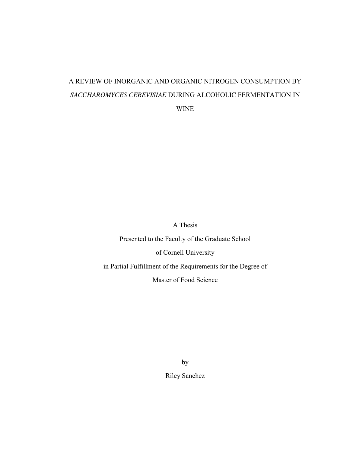# A REVIEW OF INORGANIC AND ORGANIC NITROGEN CONSUMPTION BY *SACCHAROMYCES CEREVISIAE* DURING ALCOHOLIC FERMENTATION IN

WINE

A Thesis

Presented to the Faculty of the Graduate School

of Cornell University

in Partial Fulfillment of the Requirements for the Degree of

Master of Food Science

by Riley Sanchez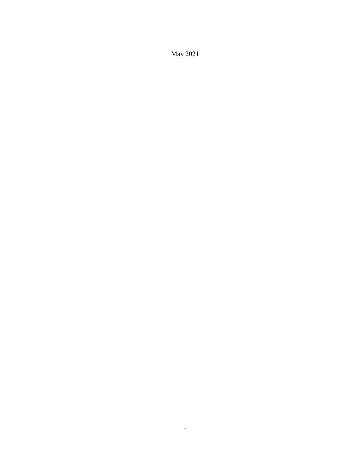May 2021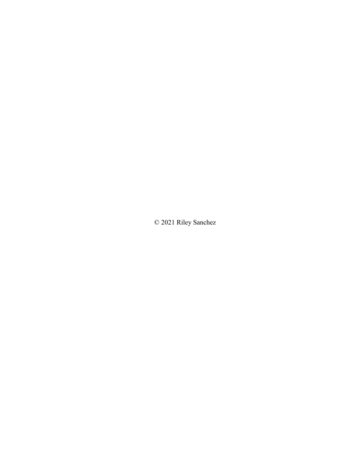© 2021 Riley Sanchez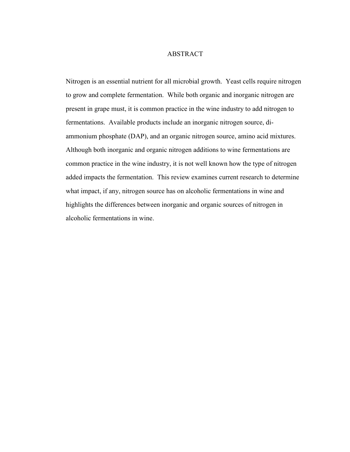#### ABSTRACT

 Nitrogen is an essential nutrient for all microbial growth. Yeast cells require nitrogen to grow and complete fermentation. While both organic and inorganic nitrogen are present in grape must, it is common practice in the wine industry to add nitrogen to fermentations. Available products include an inorganic nitrogen source, diammonium phosphate (DAP), and an organic nitrogen source, amino acid mixtures. Although both inorganic and organic nitrogen additions to wine fermentations are common practice in the wine industry, it is not well known how the type of nitrogen added impacts the fermentation. This review examines current research to determine what impact, if any, nitrogen source has on alcoholic fermentations in wine and highlights the differences between inorganic and organic sources of nitrogen in alcoholic fermentations in wine.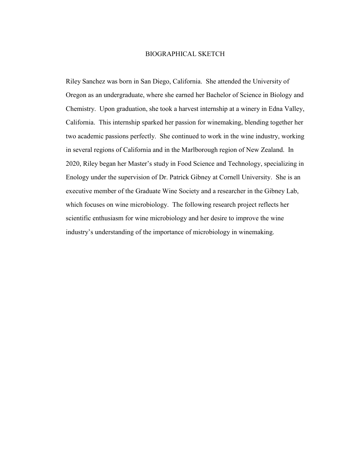#### BIOGRAPHICAL SKETCH

 in several regions of California and in the Marlborough region of New Zealand. In scientific enthusiasm for wine microbiology and her desire to improve the wine Riley Sanchez was born in San Diego, California. She attended the University of Oregon as an undergraduate, where she earned her Bachelor of Science in Biology and Chemistry. Upon graduation, she took a harvest internship at a winery in Edna Valley, California. This internship sparked her passion for winemaking, blending together her two academic passions perfectly. She continued to work in the wine industry, working 2020, Riley began her Master's study in Food Science and Technology, specializing in Enology under the supervision of Dr. Patrick Gibney at Cornell University. She is an executive member of the Graduate Wine Society and a researcher in the Gibney Lab, which focuses on wine microbiology. The following research project reflects her industry's understanding of the importance of microbiology in winemaking.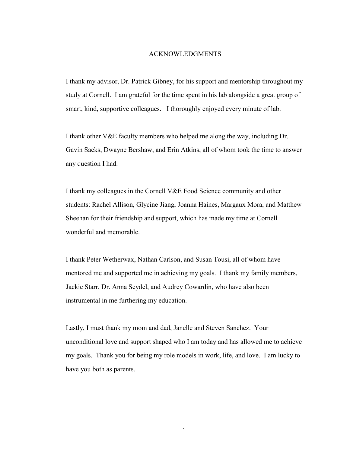#### ACKNOWLEDGMENTS

 smart, kind, supportive colleagues. I thoroughly enjoyed every minute of lab. I thank my advisor, Dr. Patrick Gibney, for his support and mentorship throughout my study at Cornell. I am grateful for the time spent in his lab alongside a great group of

I thank other V&E faculty members who helped me along the way, including Dr. Gavin Sacks, Dwayne Bershaw, and Erin Atkins, all of whom took the time to answer any question I had.

 I thank my colleagues in the Cornell V&E Food Science community and other students: Rachel Allison, Glycine Jiang, Joanna Haines, Margaux Mora, and Matthew Sheehan for their friendship and support, which has made my time at Cornell wonderful and memorable.

 mentored me and supported me in achieving my goals. I thank my family members, instrumental in me furthering my education. I thank Peter Wetherwax, Nathan Carlson, and Susan Tousi, all of whom have Jackie Starr, Dr. Anna Seydel, and Audrey Cowardin, who have also been

 unconditional love and support shaped who I am today and has allowed me to achieve Lastly, I must thank my mom and dad, Janelle and Steven Sanchez. Your my goals. Thank you for being my role models in work, life, and love. I am lucky to have you both as parents.

iv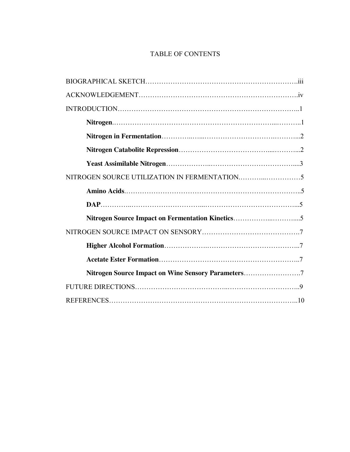### TABLE OF CONTENTS

| Nitrogen Source Impact on Wine Sensory Parameters7 |  |
|----------------------------------------------------|--|
|                                                    |  |
|                                                    |  |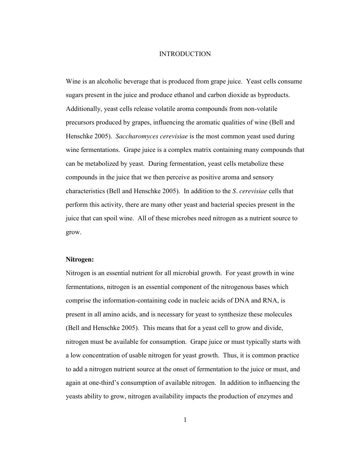#### INTRODUCTION

<span id="page-7-0"></span> Wine is an alcoholic beverage that is produced from grape juice. Yeast cells consume sugars present in the juice and produce ethanol and carbon dioxide as byproducts. can be metabolized by yeast. During fermentation, yeast cells metabolize these perform this activity, there are many other yeast and bacterial species present in the Additionally, yeast cells release volatile aroma compounds from non-volatile precursors produced by grapes, influencing the aromatic qualities of wine (Bell and Henschke 2005). *Saccharomyces cerevisiae* is the most common yeast used during wine fermentations. Grape juice is a complex matrix containing many compounds that compounds in the juice that we then perceive as positive aroma and sensory characteristics (Bell and Henschke 2005). In addition to the *S. cerevisiae* cells that juice that can spoil wine. All of these microbes need nitrogen as a nutrient source to grow.

#### **Nitrogen:**

 present in all amino acids, and is necessary for yeast to synthesize these molecules (Bell and Henschke 2005). This means that for a yeast cell to grow and divide, nitrogen must be available for consumption. Grape juice or must typically starts with a low concentration of usable nitrogen for yeast growth. Thus, it is common practice Nitrogen is an essential nutrient for all microbial growth. For yeast growth in wine fermentations, nitrogen is an essential component of the nitrogenous bases which comprise the information-containing code in nucleic acids of DNA and RNA, is to add a nitrogen nutrient source at the onset of fermentation to the juice or must, and again at one-third's consumption of available nitrogen. In addition to influencing the yeasts ability to grow, nitrogen availability impacts the production of enzymes and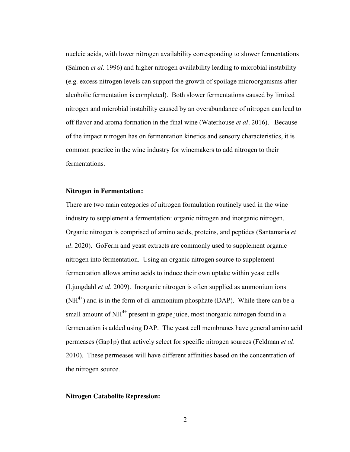<span id="page-8-0"></span> nucleic acids, with lower nitrogen availability corresponding to slower fermentations (Salmon *et al*. 1996) and higher nitrogen availability leading to microbial instability alcoholic fermentation is completed). Both slower fermentations caused by limited nitrogen and microbial instability caused by an overabundance of nitrogen can lead to off flavor and aroma formation in the final wine (Waterhouse *et al.* 2016). Because common practice in the wine industry for winemakers to add nitrogen to their (e.g. excess nitrogen levels can support the growth of spoilage microorganisms after of the impact nitrogen has on fermentation kinetics and sensory characteristics, it is fermentations.

#### **Nitrogen in Fermentation:**

 There are two main categories of nitrogen formulation routinely used in the wine (Ljungdahl *et al*. 2009). Inorganic nitrogen is often supplied as ammonium ions  $(NH<sup>4+</sup>)$  and is in the form of di-ammonium phosphate (DAP). While there can be a fermentation is added using DAP. The yeast cell membranes have general amino acid industry to supplement a fermentation: organic nitrogen and inorganic nitrogen. Organic nitrogen is comprised of amino acids, proteins, and peptides (Santamaria *et al*. 2020). GoFerm and yeast extracts are commonly used to supplement organic nitrogen into fermentation. Using an organic nitrogen source to supplement fermentation allows amino acids to induce their own uptake within yeast cells small amount of  $NH<sup>4+</sup>$  present in grape juice, most inorganic nitrogen found in a permeases (Gap1p) that actively select for specific nitrogen sources (Feldman *et al*. 2010). These permeases will have different affinities based on the concentration of the nitrogen source.

#### **Nitrogen Catabolite Repression:**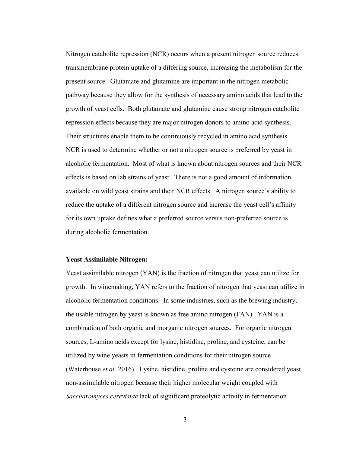<span id="page-9-0"></span> Nitrogen catabolite repression (NCR) occurs when a present nitrogen source reduces transmembrane protein uptake of a differing source, increasing the metabolism for the available on wild yeast strains and their NCR effects. A nitrogen source's ability to reduce the uptake of a different nitrogen source and increase the yeast cell's affinity present source. Glutamate and glutamine are important in the nitrogen metabolic pathway because they allow for the synthesis of necessary amino acids that lead to the growth of yeast cells. Both glutamate and glutamine cause strong nitrogen catabolite repression effects because they are major nitrogen donors to amino acid synthesis. Their structures enable them to be continuously recycled in amino acid synthesis. NCR is used to determine whether or not a nitrogen source is preferred by yeast in alcoholic fermentation. Most of what is known about nitrogen sources and their NCR effects is based on lab strains of yeast. There is not a good amount of information for its own uptake defines what a preferred source versus non-preferred source is during alcoholic fermentation.

#### **Yeast Assimilable Nitrogen:**

 Yeast assimilable nitrogen (YAN) is the fraction of nitrogen that yeast can utilize for sources, L-amino acids except for lysine, histidine, proline, and cysteine, can be utilized by wine yeasts in fermentation conditions for their nitrogen source (Waterhouse *et al.* 2016). Lysine, histidine, proline and cysteine are considered yeast growth. In winemaking, YAN refers to the fraction of nitrogen that yeast can utilize in alcoholic fermentation conditions. In some industries, such as the brewing industry, the usable nitrogen by yeast is known as free amino nitrogen (FAN). YAN is a combination of both organic and inorganic nitrogen sources. For organic nitrogen non-assimilable nitrogen because their higher molecular weight coupled with *Saccharomyces cerevisiae* lack of significant proteolytic activity in fermentation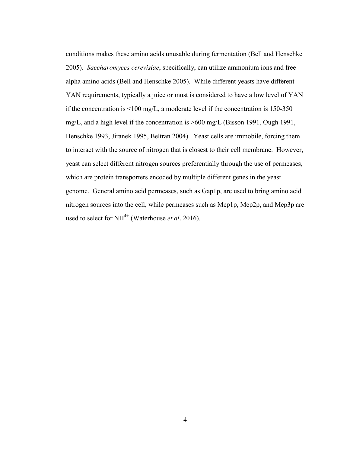YAN requirements, typically a juice or must is considered to have a low level of YAN genome. General amino acid permeases, such as Gap1p, are used to bring amino acid used to select for NH<sup>4+</sup> (Waterhouse *et al.* 2016). conditions makes these amino acids unusable during fermentation (Bell and Henschke 2005). *Saccharomyces cerevisiae*, specifically, can utilize ammonium ions and free alpha amino acids (Bell and Henschke 2005). While different yeasts have different if the concentration is <100 mg/L, a moderate level if the concentration is 150-350 mg/L, and a high level if the concentration is >600 mg/L (Bisson 1991, Ough 1991, Henschke 1993, Jiranek 1995, Beltran 2004). Yeast cells are immobile, forcing them to interact with the source of nitrogen that is closest to their cell membrane. However, yeast can select different nitrogen sources preferentially through the use of permeases, which are protein transporters encoded by multiple different genes in the yeast nitrogen sources into the cell, while permeases such as Mep1p, Mep2p, and Mep3p are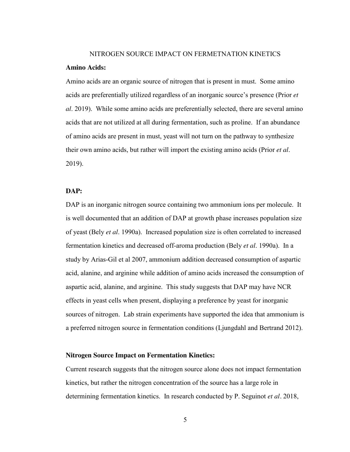#### NITROGEN SOURCE IMPACT ON FERMETNATION KINETICS

#### <span id="page-11-0"></span>**Amino Acids:**

 acids are preferentially utilized regardless of an inorganic source's presence (Prior *et*  acids that are not utilized at all during fermentation, such as proline. If an abundance their own amino acids, but rather will import the existing amino acids (Prior *et al*. Amino acids are an organic source of nitrogen that is present in must. Some amino *al*. 2019). While some amino acids are preferentially selected, there are several amino of amino acids are present in must, yeast will not turn on the pathway to synthesize 2019).

#### **DAP:**

 DAP is an inorganic nitrogen source containing two ammonium ions per molecule. It of yeast (Bely *et al*. 1990a). Increased population size is often correlated to increased study by Arias-Gil et al 2007, ammonium addition decreased consumption of aspartic sources of nitrogen. Lab strain experiments have supported the idea that ammonium is a preferred nitrogen source in fermentation conditions (Ljungdahl and Bertrand 2012). is well documented that an addition of DAP at growth phase increases population size fermentation kinetics and decreased off-aroma production (Bely *et al*. 1990a). In a acid, alanine, and arginine while addition of amino acids increased the consumption of aspartic acid, alanine, and arginine. This study suggests that DAP may have NCR effects in yeast cells when present, displaying a preference by yeast for inorganic

#### **Nitrogen Source Impact on Fermentation Kinetics:**

 determining fermentation kinetics. In research conducted by P. Seguinot *et al.* 2018, Current research suggests that the nitrogen source alone does not impact fermentation kinetics, but rather the nitrogen concentration of the source has a large role in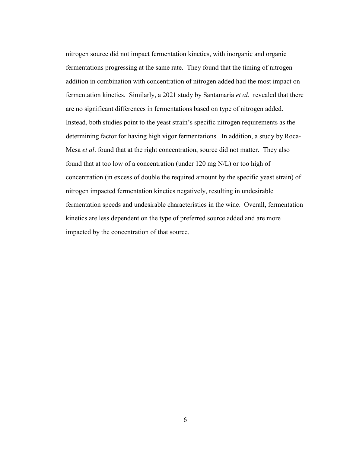fermentations progressing at the same rate. They found that the timing of nitrogen fermentation kinetics. Similarly, a 2021 study by Santamaria *et al*. revealed that there determining factor for having high vigor fermentations. In addition, a study by Roca- Mesa *et al*. found that at the right concentration, source did not matter. They also concentration (in excess of double the required amount by the specific yeast strain) of nitrogen source did not impact fermentation kinetics, with inorganic and organic addition in combination with concentration of nitrogen added had the most impact on are no significant differences in fermentations based on type of nitrogen added. Instead, both studies point to the yeast strain's specific nitrogen requirements as the found that at too low of a concentration (under 120 mg N/L) or too high of nitrogen impacted fermentation kinetics negatively, resulting in undesirable fermentation speeds and undesirable characteristics in the wine. Overall, fermentation kinetics are less dependent on the type of preferred source added and are more impacted by the concentration of that source.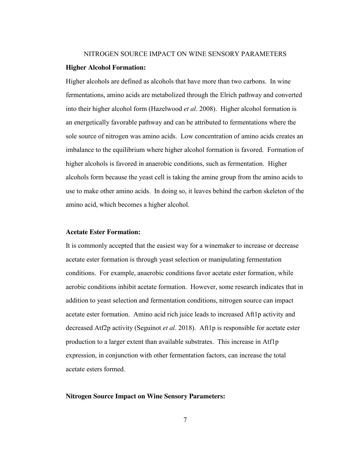## <span id="page-13-0"></span>NITROGEN SOURCE IMPACT ON WINE SENSORY PARAMETERS **Higher Alcohol Formation:**

 into their higher alcohol form (Hazelwood *et al*. 2008). Higher alcohol formation is Higher alcohols are defined as alcohols that have more than two carbons. In wine fermentations, amino acids are metabolized through the Elrich pathway and converted an energetically favorable pathway and can be attributed to fermentations where the sole source of nitrogen was amino acids. Low concentration of amino acids creates an imbalance to the equilibrium where higher alcohol formation is favored. Formation of higher alcohols is favored in anaerobic conditions, such as fermentation. Higher alcohols form because the yeast cell is taking the amine group from the amino acids to use to make other amino acids. In doing so, it leaves behind the carbon skeleton of the amino acid, which becomes a higher alcohol.

#### **Acetate Ester Formation:**

 It is commonly accepted that the easiest way for a winemaker to increase or decrease decreased Atf2p activity (Seguinot *et al*. 2018). Aft1p is responsible for acetate ester acetate ester formation is through yeast selection or manipulating fermentation conditions. For example, anaerobic conditions favor acetate ester formation, while aerobic conditions inhibit acetate formation. However, some research indicates that in addition to yeast selection and fermentation conditions, nitrogen source can impact acetate ester formation. Amino acid rich juice leads to increased Aft1p activity and production to a larger extent than available substrates. This increase in Atf1p expression, in conjunction with other fermentation factors, can increase the total acetate esters formed.

#### **Nitrogen Source Impact on Wine Sensory Parameters:**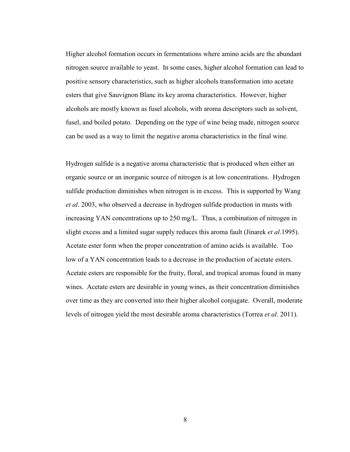Higher alcohol formation occurs in fermentations where amino acids are the abundant can be used as a way to limit the negative aroma characteristics in the final wine. nitrogen source available to yeast. In some cases, higher alcohol formation can lead to positive sensory characteristics, such as higher alcohols transformation into acetate esters that give Sauvignon Blanc its key aroma characteristics. However, higher alcohols are mostly known as fusel alcohols, with aroma descriptors such as solvent, fusel, and boiled potato. Depending on the type of wine being made, nitrogen source

 Hydrogen sulfide is a negative aroma characteristic that is produced when either an slight excess and a limited sugar supply reduces this aroma fault (Jinarek *et al*.1995). organic source or an inorganic source of nitrogen is at low concentrations. Hydrogen sulfide production diminishes when nitrogen is in excess. This is supported by Wang *et al*. 2003, who observed a decrease in hydrogen sulfide production in musts with increasing YAN concentrations up to 250 mg/L. Thus, a combination of nitrogen in Acetate ester form when the proper concentration of amino acids is available. Too low of a YAN concentration leads to a decrease in the production of acetate esters. Acetate esters are responsible for the fruity, floral, and tropical aromas found in many wines. Acetate esters are desirable in young wines, as their concentration diminishes over time as they are converted into their higher alcohol conjugate. Overall, moderate levels of nitrogen yield the most desirable aroma characteristics (Torrea *et al*. 2011).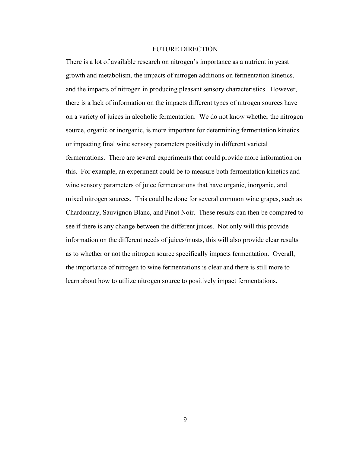#### FUTURE DIRECTION

<span id="page-15-0"></span> there is a lack of information on the impacts different types of nitrogen sources have There is a lot of available research on nitrogen's importance as a nutrient in yeast growth and metabolism, the impacts of nitrogen additions on fermentation kinetics, and the impacts of nitrogen in producing pleasant sensory characteristics. However, on a variety of juices in alcoholic fermentation. We do not know whether the nitrogen source, organic or inorganic, is more important for determining fermentation kinetics or impacting final wine sensory parameters positively in different varietal fermentations. There are several experiments that could provide more information on this. For example, an experiment could be to measure both fermentation kinetics and wine sensory parameters of juice fermentations that have organic, inorganic, and mixed nitrogen sources. This could be done for several common wine grapes, such as Chardonnay, Sauvignon Blanc, and Pinot Noir. These results can then be compared to see if there is any change between the different juices. Not only will this provide information on the different needs of juices/musts, this will also provide clear results as to whether or not the nitrogen source specifically impacts fermentation. Overall, the importance of nitrogen to wine fermentations is clear and there is still more to learn about how to utilize nitrogen source to positively impact fermentations.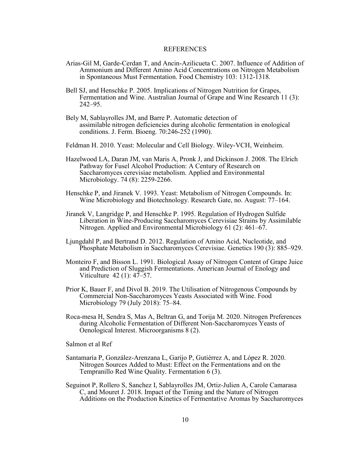#### REFERENCES

- <span id="page-16-0"></span>Arias-Gil M, Garde-Cerdan T, and Ancin-Azilicueta C. 2007. Influence of Addition of Ammonium and Different Amino Acid Concentrations on Nitrogen Metabolism in Spontaneous Must Fermentation. Food Chemistry 103: 1312-1318.
- Bell SJ, and Henschke P. 2005. Implications of Nitrogen Nutrition for Grapes, Fermentation and Wine. Australian Journal of Grape and Wine Research 11 (3): 242–95.
- Bely M, Sablayrolles JM, and Barre P. Automatic detection of assimilable nitrogen deficiencies during alcoholic fermentation in enological conditions. J. Ferm. Bioeng. 70:246-252 (1990).
- Feldman H. 2010. Yeast: Molecular and Cell Biology. Wiley-VCH, Weinheim.
- Pathway for Fusel Alcohol Production: A Century of Research on Hazelwood LA, Daran JM, van Maris A, Pronk J, and Dickinson J. 2008. The Elrich Saccharomyces cerevisiae metabolism. Applied and Environmental Microbiology. 74 (8): 2259-2266.
- Henschke P, and Jiranek V. 1993. Yeast: Metabolism of Nitrogen Compounds. In: Wine Microbiology and Biotechnology. Research Gate, no. August: 77–164.
- Jiranek V, Langridge P, and Henschke P. 1995. Regulation of Hydrogen Sulfide Liberation in Wine-Producing Saccharomyces Cerevisiae Strains by Assimilable Nitrogen. Applied and Environmental Microbiology 61 (2): 461–67.
- Ljungdahl P, and Bertrand D. 2012. Regulation of Amino Acid, Nucleotide, and Phosphate Metabolism in Saccharomyces Cerevisiae. Genetics 190 (3): 885–929.
- Monteiro F, and Bisson L. 1991. Biological Assay of Nitrogen Content of Grape Juice Viticulture 42 (1): 47–57. and Prediction of Sluggish Fermentations. American Journal of Enology and
- Prior K, Bauer F, and Divol B. 2019. The Utilisation of Nitrogenous Compounds by Commercial Non-Saccharomyces Yeasts Associated with Wine. Food Microbiology 79 (July 2018): 75–84.
- Roca-mesa H, Sendra S, Mas A, Beltran G, and Torija M. 2020. Nitrogen Preferences Oenological Interest. Microorganisms 8 (2). during Alcoholic Fermentation of Different Non-Saccharomyces Yeasts of

Salmon et al Ref

- Santamaría P, González-Arenzana L, Garijo P, Gutiérrez A, and López R. 2020. Tempranillo Red Wine Quality. Fermentation 6 (3). Nitrogen Sources Added to Must: Effect on the Fermentations and on the
- Seguinot P, Rollero S, Sanchez I, Sablayrolles JM, Ortiz-Julien A, Carole Camarasa C, and Mouret J. 2018. Impact of the Timing and the Nature of Nitrogen Additions on the Production Kinetics of Fermentative Aromas by Saccharomyces